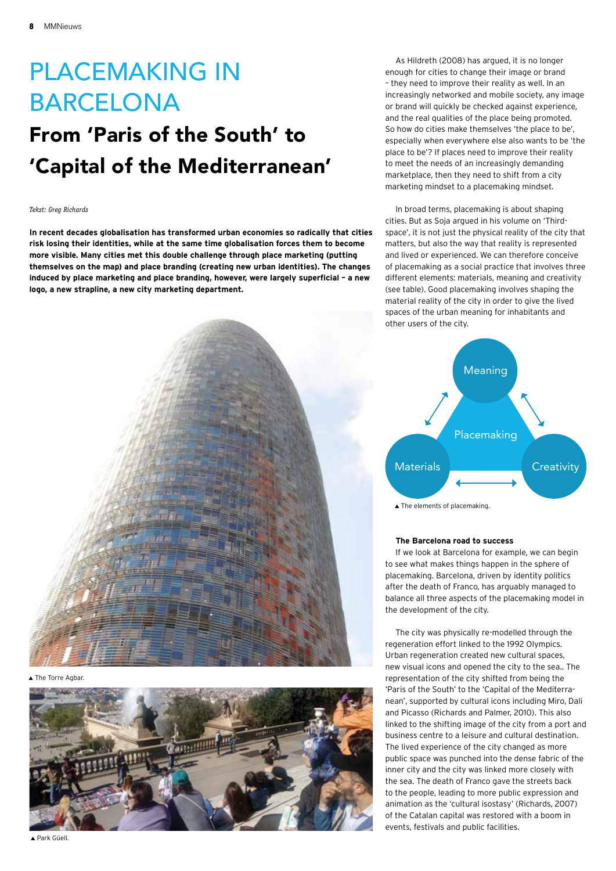# Placemaking in **BARCELONA**

## From 'Paris of the South' to 'Capital of the Mediterranean'

## *Tekst: Greg Richards*

**In recent decades globalisation has transformed urban economies so radically that cities risk losing their identities, while at the same time globalisation forces them to become more visible. Many cities met this double challenge through place marketing (putting themselves on the map) and place branding (creating new urban identities). The changes induced by place marketing and place branding, however, were largely superficial – a new logo, a new strapline, a new city marketing department.** 



▲ The Torre Agbar



As Hildreth (2008) has argued, it is no longer enough for cities to change their image or brand – they need to improve their reality as well. In an increasingly networked and mobile society, any image or brand will quickly be checked against experience, and the real qualities of the place being promoted. So how do cities make themselves 'the place to be', especially when everywhere else also wants to be 'the place to be'? If places need to improve their reality to meet the needs of an increasingly demanding marketplace, then they need to shift from a city marketing mindset to a placemaking mindset.

In broad terms, placemaking is about shaping cities. But as Soja argued in his volume on 'Thirdspace', it is not just the physical reality of the city that matters, but also the way that reality is represented and lived or experienced. We can therefore conceive of placemaking as a social practice that involves three different elements: materials, meaning and creativity (see table). Good placemaking involves shaping the material reality of the city in order to give the lived spaces of the urban meaning for inhabitants and other users of the city.



## **The Barcelona road to success**

If we look at Barcelona for example, we can begin to see what makes things happen in the sphere of placemaking. Barcelona, driven by identity politics after the death of Franco, has arguably managed to balance all three aspects of the placemaking model in the development of the city.

The city was physically re-modelled through the regeneration effort linked to the 1992 Olympics. Urban regeneration created new cultural spaces, new visual icons and opened the city to the sea.. The representation of the city shifted from being the 'Paris of the South' to the 'Capital of the Mediterranean', supported by cultural icons including Miro, Dali and Picasso (Richards and Palmer, 2010). This also linked to the shifting image of the city from a port and business centre to a leisure and cultural destination. The lived experience of the city changed as more public space was punched into the dense fabric of the inner city and the city was linked more closely with the sea. The death of Franco gave the streets back to the people, leading to more public expression and animation as the 'cultural isostasy' (Richards, 2007) of the Catalan capital was restored with a boom in events, festivals and public facilities.

▲ Park Güell.